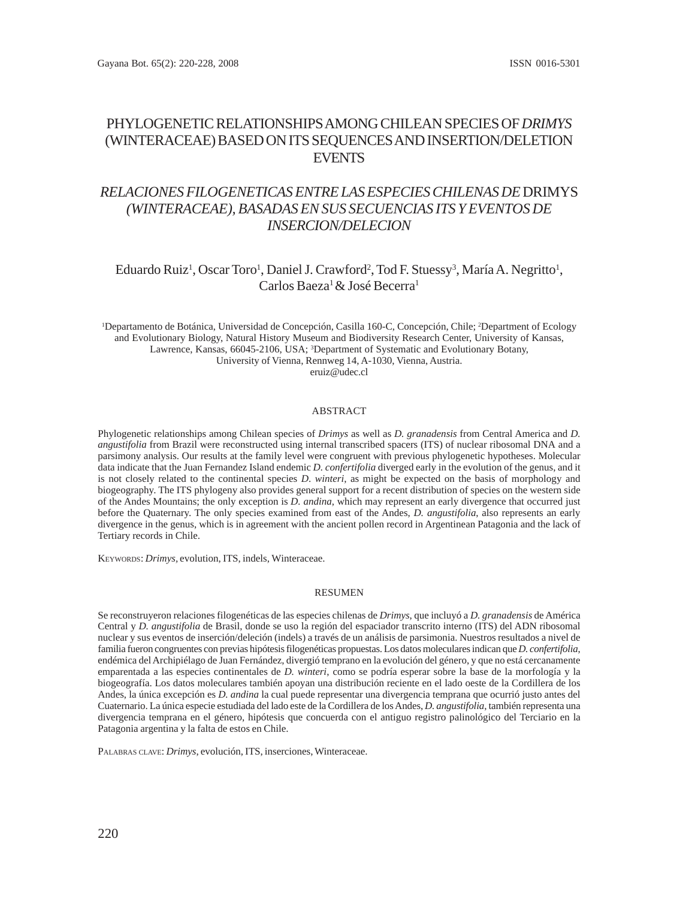## PHYLOGENETIC RELATIONSHIPS AMONG CHILEAN SPECIES OF *DRIMYS* (WINTERACEAE) BASED ON ITS SEQUENCES AND INSERTION/DELETION **EVENTS**

# *RELACIONES FILOGENETICAS ENTRE LAS ESPECIES CHILENAS DE* DRIMYS *(WINTERACEAE), BASADAS EN SUS SECUENCIAS ITS Y EVENTOS DE INSERCION/DELECION*

## Eduardo Ruiz<sup>1</sup>, Oscar Toro<sup>1</sup>, Daniel J. Crawford<sup>2</sup>, Tod F. Stuessy<sup>3</sup>, María A. Negritto<sup>1</sup>, Carlos Baeza<sup>1</sup> & José Becerra<sup>1</sup>

<sup>1</sup>Departamento de Botánica, Universidad de Concepción, Casilla 160-C, Concepción, Chile; <sup>2</sup>Department of Ecology and Evolutionary Biology, Natural History Museum and Biodiversity Research Center, University of Kansas, Lawrence, Kansas, 66045-2106, USA; <sup>3</sup>Department of Systematic and Evolutionary Botany, University of Vienna, Rennweg 14, A-1030, Vienna, Austria. eruiz@udec.cl

#### ABSTRACT

Phylogenetic relationships among Chilean species of *Drimys* as well as *D. granadensis* from Central America and *D. angustifolia* from Brazil were reconstructed using internal transcribed spacers (ITS) of nuclear ribosomal DNA and a parsimony analysis. Our results at the family level were congruent with previous phylogenetic hypotheses. Molecular data indicate that the Juan Fernandez Island endemic *D. confertifolia* diverged early in the evolution of the genus, and it is not closely related to the continental species *D*. *winteri*, as might be expected on the basis of morphology and biogeography. The ITS phylogeny also provides general support for a recent distribution of species on the western side of the Andes Mountains; the only exception is *D. andina*, which may represent an early divergence that occurred just before the Quaternary. The only species examined from east of the Andes, *D. angustifolia*, also represents an early divergence in the genus, which is in agreement with the ancient pollen record in Argentinean Patagonia and the lack of Tertiary records in Chile.

KEYWORDS: *Drimys,* evolution, ITS, indels, Winteraceae.

#### RESUMEN

Se reconstruyeron relaciones filogenéticas de las especies chilenas de *Drimys*, que incluyó a *D. granadensis* de América Central y *D. angustifolia* de Brasil, donde se uso la región del espaciador transcrito interno (ITS) del ADN ribosomal nuclear y sus eventos de inserción/deleción (indels) a través de un análisis de parsimonia. Nuestros resultados a nivel de familia fueron congruentes con previas hipótesis filogenéticas propuestas. Los datos moleculares indican que *D. confertifolia*, endémica del Archipiélago de Juan Fernández, divergió temprano en la evolución del género, y que no está cercanamente emparentada a las especies continentales de *D. winteri*, como se podría esperar sobre la base de la morfología y la biogeografía. Los datos moleculares también apoyan una distribución reciente en el lado oeste de la Cordillera de los Andes, la única excepción es *D. andina* la cual puede representar una divergencia temprana que ocurrió justo antes del Cuaternario. La única especie estudiada del lado este de la Cordillera de los Andes, *D. angustifolia*, también representa una divergencia temprana en el género, hipótesis que concuerda con el antiguo registro palinológico del Terciario en la Patagonia argentina y la falta de estos en Chile.

PALABRAS CLAVE: *Drimys*, evolución, ITS, inserciones, Winteraceae.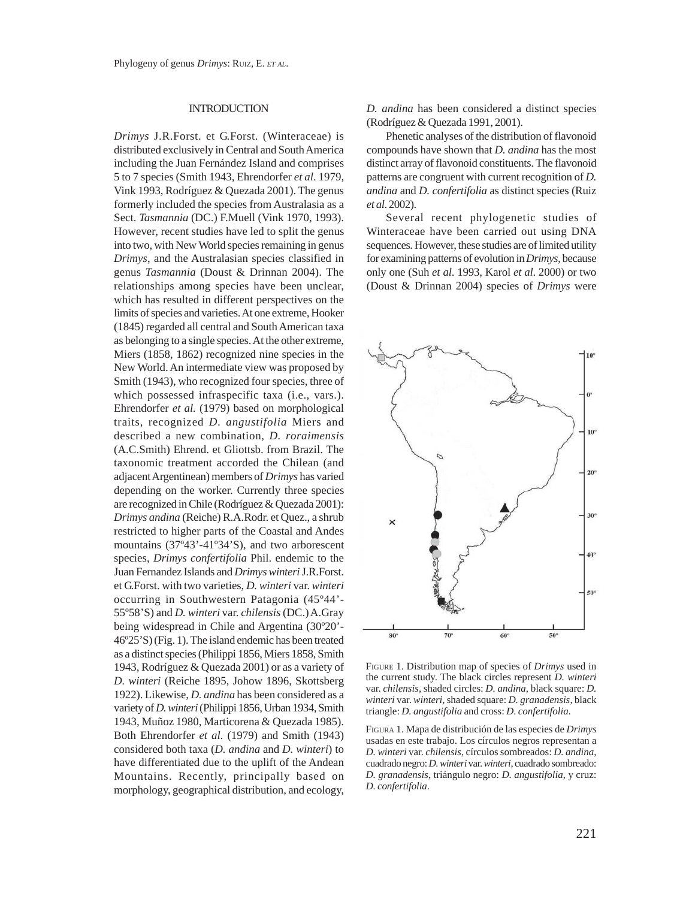### **INTRODUCTION**

*Drimys* J.R.Forst. et G.Forst. (Winteraceae) is distributed exclusively in Central and South America including the Juan Fernández Island and comprises 5 to 7 species (Smith 1943, Ehrendorfer *et al*. 1979, Vink 1993, Rodríguez & Quezada 2001). The genus formerly included the species from Australasia as a Sect. *Tasmannia* (DC.) F.Muell (Vink 1970, 1993). However, recent studies have led to split the genus into two, with New World species remaining in genus *Drimys*, and the Australasian species classified in genus *Tasmannia* (Doust & Drinnan 2004). The relationships among species have been unclear, which has resulted in different perspectives on the limits of species and varieties. At one extreme, Hooker (1845) regarded all central and South American taxa as belonging to a single species. At the other extreme, Miers (1858, 1862) recognized nine species in the New World. An intermediate view was proposed by Smith (1943), who recognized four species, three of which possessed infraspecific taxa (i.e., vars.). Ehrendorfer *et al.* (1979) based on morphological traits, recognized *D. angustifolia* Miers and described a new combination, *D. roraimensis* (A.C.Smith) Ehrend. et Gliottsb. from Brazil. The taxonomic treatment accorded the Chilean (and adjacent Argentinean) members of *Drimys* has varied depending on the worker. Currently three species are recognized in Chile (Rodríguez & Quezada 2001): *Drimys andina* (Reiche) R.A.Rodr. et Quez., a shrub restricted to higher parts of the Coastal and Andes mountains (37º43'-41º34'S), and two arborescent species, *Drimys confertifolia* Phil. endemic to the Juan Fernandez Islands and *Drimys winteri* J.R.Forst. et G.Forst. with two varieties, *D. winteri* var. *winteri* occurring in Southwestern Patagonia (45º44'- 55º58'S) and *D. winteri* var. *chilensis* (DC.) A.Gray being widespread in Chile and Argentina (30º20'- 46º25'S) (Fig. 1). The island endemic has been treated as a distinct species (Philippi 1856, Miers 1858, Smith 1943, Rodríguez & Quezada 2001) or as a variety of *D. winteri* (Reiche 1895, Johow 1896, Skottsberg 1922). Likewise, *D. andina* has been considered as a variety of *D. winteri* (Philippi 1856, Urban 1934, Smith 1943, Muñoz 1980, Marticorena & Quezada 1985). Both Ehrendorfer *et al.* (1979) and Smith (1943) considered both taxa (*D. andina* and *D. winteri*) to have differentiated due to the uplift of the Andean Mountains. Recently, principally based on morphology, geographical distribution, and ecology,

*D. andina* has been considered a distinct species (Rodríguez & Quezada 1991, 2001).

Phenetic analyses of the distribution of flavonoid compounds have shown that *D. andina* has the most distinct array of flavonoid constituents. The flavonoid patterns are congruent with current recognition of *D. andina* and *D. confertifolia* as distinct species (Ruiz *et al*. 2002).

Several recent phylogenetic studies of Winteraceae have been carried out using DNA sequences. However, these studies are of limited utility for examining patterns of evolution in *Drimys,* because only one (Suh *et al*. 1993, Karol *et al*. 2000) or two (Doust & Drinnan 2004) species of *Drimys* were



FIGURE 1. Distribution map of species of *Drimys* used in the current study. The black circles represent *D. winteri* var. *chilensis*, shaded circles: *D. andina*, black square: *D. winteri* var. *winteri*, shaded square: *D. granadensis*, black triangle: *D. angustifolia* and cross: *D. confertifolia*.

FIGURA 1. Mapa de distribución de las especies de *Drimys* usadas en este trabajo. Los círculos negros representan a *D. winteri* var. *chilensis*, círculos sombreados: *D. andina*, cuadrado negro: *D. winteri* var. *winteri*, cuadrado sombreado: *D. granadensis*, triángulo negro: *D. angustifolia*, y cruz: *D. confertifolia*.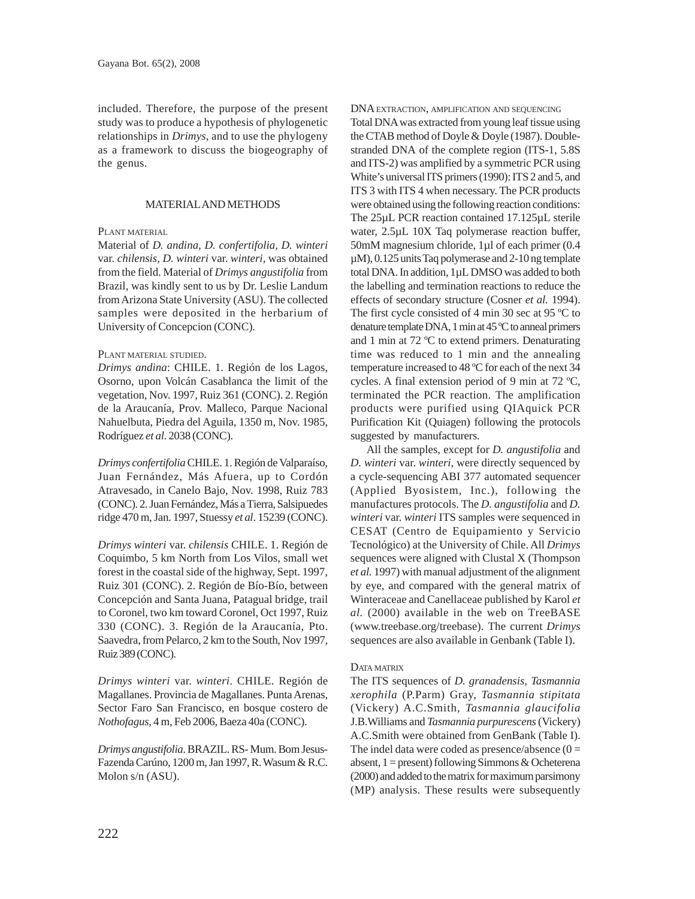included. Therefore, the purpose of the present study was to produce a hypothesis of phylogenetic relationships in *Drimys*, and to use the phylogeny as a framework to discuss the biogeography of the genus.

### MATERIAL AND METHODS

### PLANT MATERIAL

Material of *D. andina, D. confertifolia, D. winteri* var. *chilensis*, *D. winteri* var. *winteri,* was obtained from the field. Material of *Drimys angustifolia* from Brazil, was kindly sent to us by Dr. Leslie Landum from Arizona State University (ASU). The collected samples were deposited in the herbarium of University of Concepcion (CONC).

### PLANT MATERIAL STUDIED.

*Drimys andina*: CHILE. 1. Región de los Lagos, Osorno, upon Volcán Casablanca the limit of the vegetation, Nov. 1997, Ruiz 361 (CONC). 2. Región de la Araucanía, Prov. Malleco, Parque Nacional Nahuelbuta, Piedra del Aguila, 1350 m, Nov. 1985, Rodríguez *et al*. 2038 (CONC).

*Drimys confertifolia* CHILE. 1. Región de Valparaíso, Juan Fernández, Más Afuera, up to Cordón Atravesado, in Canelo Bajo, Nov. 1998, Ruiz 783 (CONC). 2. Juan Fernández, Más a Tierra, Salsipuedes ridge 470 m, Jan. 1997, Stuessy *et al*. 15239 (CONC).

*Drimys winteri* var. *chilensis* CHILE. 1. Región de Coquimbo, 5 km North from Los Vilos, small wet forest in the coastal side of the highway, Sept. 1997, Ruiz 301 (CONC). 2. Región de Bío-Bío, between Concepción and Santa Juana, Patagual bridge, trail to Coronel, two km toward Coronel, Oct 1997, Ruiz 330 (CONC). 3. Región de la Araucanía, Pto. Saavedra, from Pelarco, 2 km to the South, Nov 1997, Ruiz 389 (CONC).

*Drimys winteri* var. *winteri*. CHILE. Región de Magallanes. Provincia de Magallanes. Punta Arenas, Sector Faro San Francisco, en bosque costero de *Nothofagus*, 4 m, Feb 2006, Baeza 40a (CONC).

*Drimys angustifolia*. BRAZIL. RS- Mum. Bom Jesus-Fazenda Carúno, 1200 m, Jan 1997, R. Wasum & R.C. Molon s/n (ASU).

DNA EXTRACTION, AMPLIFICATION AND SEQUENCING

Total DNA was extracted from young leaf tissue using the CTAB method of Doyle & Doyle (1987). Doublestranded DNA of the complete region (ITS-1, 5.8S and ITS-2) was amplified by a symmetric PCR using White's universal ITS primers (1990): ITS 2 and 5, and ITS 3 with ITS 4 when necessary. The PCR products were obtained using the following reaction conditions: The 25µL PCR reaction contained 17.125µL sterile water, 2.5µL 10X Taq polymerase reaction buffer, 50mM magnesium chloride, 1µl of each primer (0.4 µM), 0.125 units Taq polymerase and 2-10 ng template total DNA. In addition, 1µL DMSO was added to both the labelling and termination reactions to reduce the effects of secondary structure (Cosner *et al.* 1994). The first cycle consisted of 4 min 30 sec at 95 ºC to denature template DNA, 1 min at 45 ºC to anneal primers and 1 min at 72 ºC to extend primers. Denaturating time was reduced to 1 min and the annealing temperature increased to 48 ºC for each of the next 34 cycles. A final extension period of 9 min at 72 ºC, terminated the PCR reaction. The amplification products were purified using QIAquick PCR Purification Kit (Quiagen) following the protocols suggested by manufacturers.

All the samples, except for *D. angustifolia* and *D. winteri* var. *winteri*, were directly sequenced by a cycle-sequencing ABI 377 automated sequencer (Applied Byosistem, Inc.), following the manufactures protocols. The *D. angustifolia* and *D. winteri* var. *winteri* ITS samples were sequenced in CESAT (Centro de Equipamiento y Servicio Tecnológico) at the University of Chile. All *Drimys* sequences were aligned with Clustal X (Thompson *et al.* 1997) with manual adjustment of the alignment by eye, and compared with the general matrix of Winteraceae and Canellaceae published by Karol *et al.* (2000) available in the web on TreeBASE (www.treebase.org/treebase). The current *Drimys* sequences are also available in Genbank (Table I).

### DATA MATRIX

The ITS sequences of *D. granadensis, Tasmannia xerophila* (P.Parm) Gray, *Tasmannia stipitata* (Vickery) A.C.Smith, *Tasmannia glaucifolia* J.B.Williams and *Tasmannia purpurescens* (Vickery) A.C.Smith were obtained from GenBank (Table I). The indel data were coded as presence/absence  $(0 =$ absent,  $1 =$  present) following Simmons & Ocheterena (2000) and added to the matrix for maximum parsimony (MP) analysis. These results were subsequently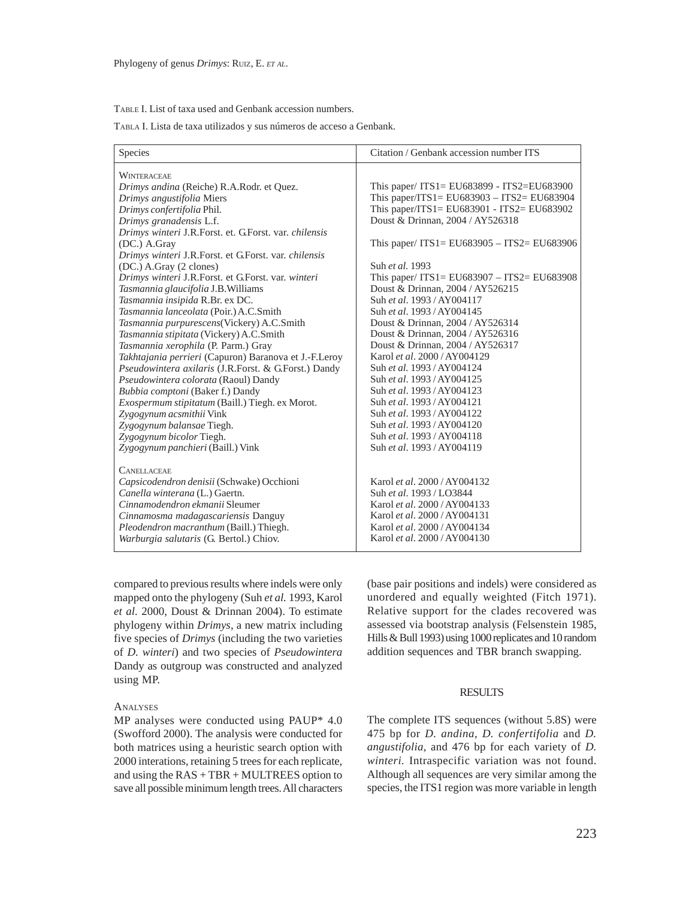#### TABLE I. List of taxa used and Genbank accession numbers.

TABLA I. Lista de taxa utilizados y sus números de acceso a Genbank.

| <b>Species</b>                                        | Citation / Genbank accession number ITS         |
|-------------------------------------------------------|-------------------------------------------------|
| WINTERACEAE                                           |                                                 |
| Drimys andina (Reiche) R.A.Rodr. et Quez.             | This paper/ $ITS1 = EU683899 - ITS2 = EU683900$ |
| Drimys angustifolia Miers                             | This paper/ITS1= EU683903 - ITS2= EU683904      |
| Drimys confertifolia Phil.                            | This paper/ITS1= EU683901 - ITS2= EU683902      |
| Drimys granadensis L.f.                               | Doust & Drinnan, 2004 / AY526318                |
| Drimys winteri J.R.Forst. et. G.Forst. var. chilensis |                                                 |
| (DC.) A.Gray                                          | This paper/ ITS1= EU683905 - ITS2= EU683906     |
| Drimys winteri J.R.Forst. et G.Forst. var. chilensis  |                                                 |
| (DC.) A.Gray (2 clones)                               | Suh et al. 1993                                 |
| Drimys winteri J.R.Forst. et G.Forst. var. winteri    | This paper/ $ITS1 = EU683907 - ITS2 = EU683908$ |
| Tasmannia glaucifolia J.B. Williams                   | Doust & Drinnan, 2004 / AY526215                |
| Tasmannia insipida R.Br. ex DC.                       | Suh et al. 1993 / AY004117                      |
| Tasmannia lanceolata (Poir.) A.C.Smith                | Suh et al. 1993 / AY004145                      |
| Tasmannia purpurescens (Vickery) A.C.Smith            | Doust & Drinnan, 2004 / AY526314                |
| Tasmannia stipitata (Vickery) A.C.Smith               | Doust & Drinnan, 2004 / AY526316                |
| Tasmannia xerophila (P. Parm.) Gray                   | Doust & Drinnan, 2004 / AY526317                |
| Takhtajania perrieri (Capuron) Baranova et J.-F.Leroy | Karol et al. 2000 / AY004129                    |
| Pseudowintera axilaris (J.R.Forst. & G.Forst.) Dandy  | Suh et al. 1993 / AY004124                      |
| Pseudowintera colorata (Raoul) Dandy                  | Suh et al. 1993 / AY004125                      |
| Bubbia comptoni (Baker f.) Dandy                      | Suh et al. 1993 / AY004123                      |
| Exospermum stipitatum (Baill.) Tiegh. ex Morot.       | Suh et al. 1993 / AY004121                      |
| Zygogynum acsmithii Vink                              | Suh et al. 1993 / AY004122                      |
| Zygogynum balansae Tiegh.                             | Suh et al. 1993 / AY004120                      |
| Zygogynum bicolor Tiegh.                              | Suh et al. 1993 / AY004118                      |
| Zygogynum panchieri (Baill.) Vink                     | Suh et al. 1993 / AY004119                      |
| <b>CANELLACEAE</b>                                    |                                                 |
| Capsicodendron denisii (Schwake) Occhioni             | Karol et al. 2000 / AY004132                    |
| Canella winterana (L.) Gaertn.                        | Suh et al. 1993 / LO3844                        |
| Cinnamodendron ekmanii Sleumer                        | Karol et al. 2000 / AY004133                    |
| Cinnamosma madagascariensis Danguy                    | Karol et al. 2000 / AY004131                    |
| Pleodendron macranthum (Baill.) Thiegh.               | Karol et al. 2000 / AY004134                    |
| Warburgia salutaris (G. Bertol.) Chiov.               | Karol et al. 2000 / AY004130                    |
|                                                       |                                                 |

compared to previous results where indels were only mapped onto the phylogeny (Suh *et al.* 1993, Karol *et al.* 2000, Doust & Drinnan 2004). To estimate phylogeny within *Drimys*, a new matrix including five species of *Drimys* (including the two varieties of *D. winteri*) and two species of *Pseudowintera* Dandy as outgroup was constructed and analyzed using MP.

#### **ANALYSES**

MP analyses were conducted using PAUP\* 4.0 (Swofford 2000). The analysis were conducted for both matrices using a heuristic search option with 2000 interations, retaining 5 trees for each replicate, and using the RAS + TBR + MULTREES option to save all possible minimum length trees. All characters (base pair positions and indels) were considered as unordered and equally weighted (Fitch 1971). Relative support for the clades recovered was assessed via bootstrap analysis (Felsenstein 1985, Hills & Bull 1993) using 1000 replicates and 10 random addition sequences and TBR branch swapping.

### **RESULTS**

The complete ITS sequences (without 5.8S) were 475 bp for *D. andina*, *D. confertifolia* and *D. angustifolia*, and 476 bp for each variety of *D. winteri.* Intraspecific variation was not found. Although all sequences are very similar among the species, the ITS1 region was more variable in length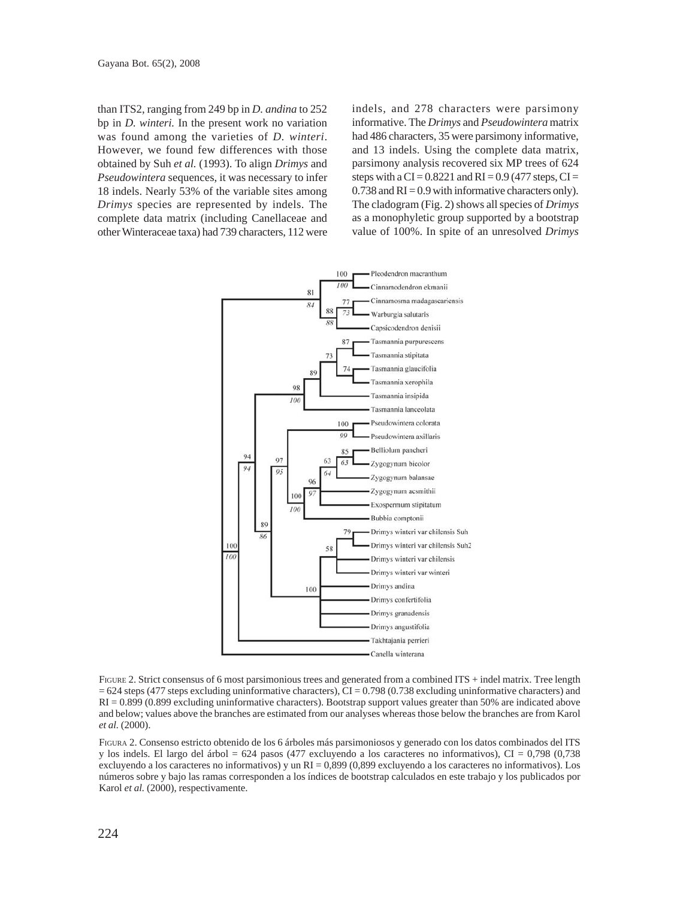than ITS2, ranging from 249 bp in *D. andina* to 252 bp in *D. winteri.* In the present work no variation was found among the varieties of *D. winteri*. However, we found few differences with those obtained by Suh *et al.* (1993). To align *Drimys* and *Pseudowintera* sequences, it was necessary to infer 18 indels. Nearly 53% of the variable sites among *Drimys* species are represented by indels. The complete data matrix (including Canellaceae and other Winteraceae taxa) had 739 characters, 112 were indels, and 278 characters were parsimony informative. The *Drimys* and *Pseudowintera* matrix had 486 characters, 35 were parsimony informative, and 13 indels. Using the complete data matrix, parsimony analysis recovered six MP trees of 624 steps with a  $CI = 0.8221$  and  $RI = 0.9$  (477 steps,  $CI =$  $0.738$  and  $RI = 0.9$  with informative characters only). The cladogram (Fig. 2) shows all species of *Drimys* as a monophyletic group supported by a bootstrap value of 100%. In spite of an unresolved *Drimys*



FIGURE 2. Strict consensus of 6 most parsimonious trees and generated from a combined ITS + indel matrix. Tree length  $= 624$  steps (477 steps excluding uninformative characters), CI = 0.798 (0.738 excluding uninformative characters) and RI = 0.899 (0.899 excluding uninformative characters). Bootstrap support values greater than 50% are indicated above and below; values above the branches are estimated from our analyses whereas those below the branches are from Karol *et al.* (2000).

FIGURA 2. Consenso estricto obtenido de los 6 árboles más parsimoniosos y generado con los datos combinados del ITS y los indels. El largo del árbol = 624 pasos (477 excluyendo a los caracteres no informativos), CI = 0,798 (0,738 excluyendo a los caracteres no informativos) y un  $RI = 0,899$  (0,899 excluyendo a los caracteres no informativos). Los números sobre y bajo las ramas corresponden a los índices de bootstrap calculados en este trabajo y los publicados por Karol *et al.* (2000), respectivamente.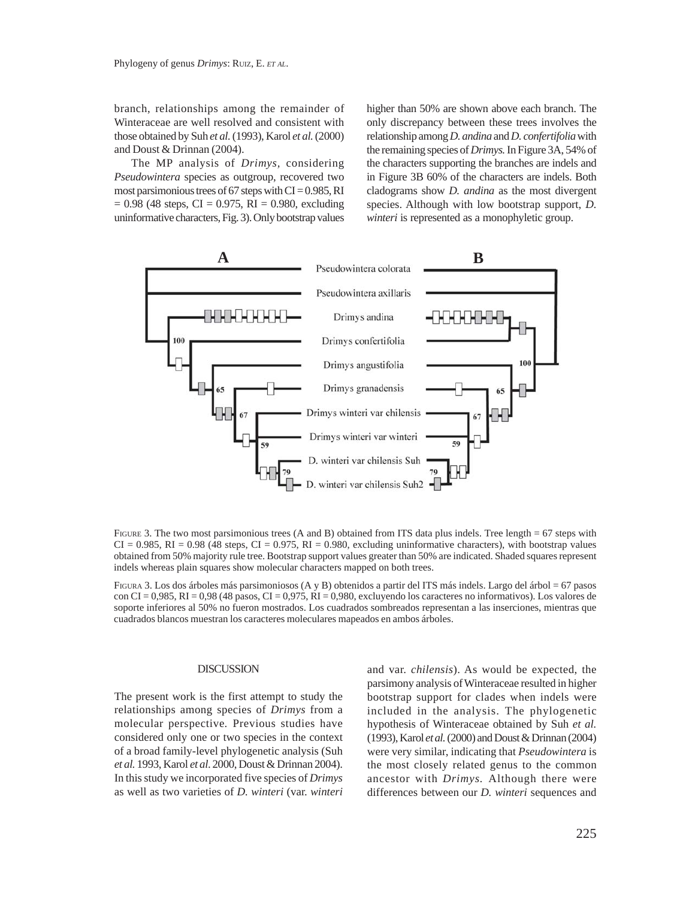branch, relationships among the remainder of Winteraceae are well resolved and consistent with those obtained by Suh *et al.* (1993), Karol *et al.* (2000) and Doust & Drinnan (2004).

The MP analysis of *Drimys,* considering *Pseudowintera* species as outgroup, recovered two most parsimonious trees of 67 steps with  $CI = 0.985$ , RI  $= 0.98$  (48 steps, CI = 0.975, RI = 0.980, excluding uninformative characters, Fig. 3). Only bootstrap values higher than 50% are shown above each branch. The only discrepancy between these trees involves the relationship among *D. andina* and *D. confertifolia* with the remaining species of *Drimys.* In Figure 3A, 54% of the characters supporting the branches are indels and in Figure 3B 60% of the characters are indels. Both cladograms show *D. andina* as the most divergent species. Although with low bootstrap support, *D. winteri* is represented as a monophyletic group.



FIGURE 3. The two most parsimonious trees (A and B) obtained from ITS data plus indels. Tree length  $= 67$  steps with  $CI = 0.985$ ,  $RI = 0.98$  (48 steps,  $CI = 0.975$ ,  $RI = 0.980$ , excluding uninformative characters), with bootstrap values obtained from 50% majority rule tree. Bootstrap support values greater than 50% are indicated. Shaded squares represent indels whereas plain squares show molecular characters mapped on both trees.

FIGURA 3. Los dos árboles más parsimoniosos (A y B) obtenidos a partir del ITS más indels. Largo del árbol = 67 pasos con CI =  $0.985$ , RI =  $0.98$  (48 pasos, CI =  $0.975$ , RI =  $0.980$ , excluyendo los caracteres no informativos). Los valores de soporte inferiores al 50% no fueron mostrados. Los cuadrados sombreados representan a las inserciones, mientras que cuadrados blancos muestran los caracteres moleculares mapeados en ambos árboles.

### **DISCUSSION**

The present work is the first attempt to study the relationships among species of *Drimys* from a molecular perspective*.* Previous studies have considered only one or two species in the context of a broad family-level phylogenetic analysis (Suh *et al.* 1993, Karol *et al*. 2000, Doust & Drinnan 2004). In this study we incorporated five species of *Drimys* as well as two varieties of *D. winteri* (var. *winteri* and var. *chilensis*). As would be expected, the parsimony analysis of Winteraceae resulted in higher bootstrap support for clades when indels were included in the analysis. The phylogenetic hypothesis of Winteraceae obtained by Suh *et al.* (1993), Karol *et al.* (2000) and Doust & Drinnan (2004) were very similar, indicating that *Pseudowintera* is the most closely related genus to the common ancestor with *Drimys.* Although there were differences between our *D. winteri* sequences and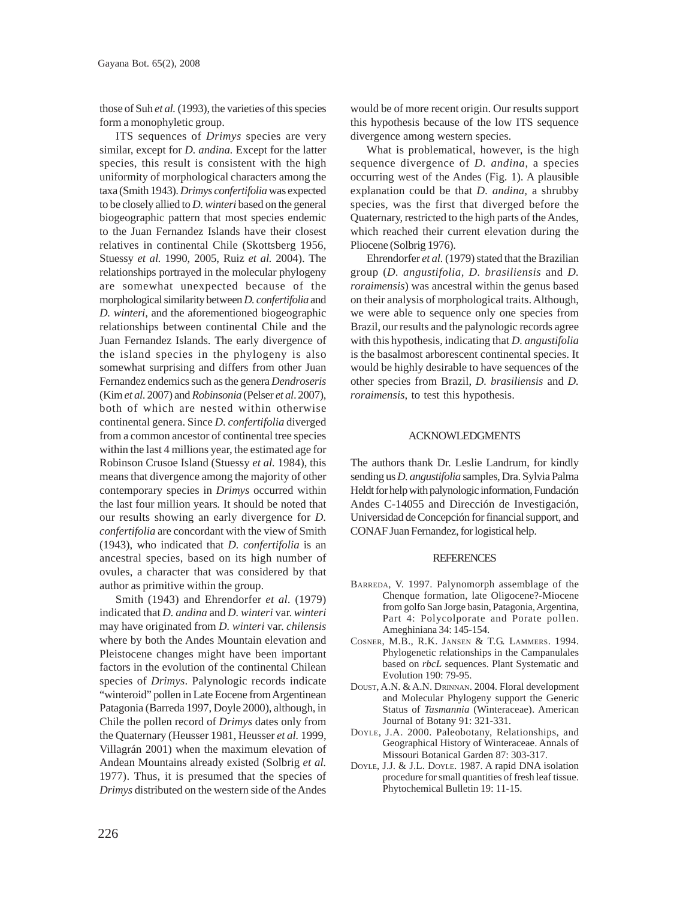those of Suh *et al.* (1993), the varieties of this species form a monophyletic group.

ITS sequences of *Drimys* species are very similar, except for *D. andina.* Except for the latter species, this result is consistent with the high uniformity of morphological characters among the taxa (Smith 1943). *Drimys confertifolia* was expected to be closely allied to *D. winteri* based on the general biogeographic pattern that most species endemic to the Juan Fernandez Islands have their closest relatives in continental Chile (Skottsberg 1956, Stuessy *et al.* 1990, 2005, Ruiz *et al.* 2004). The relationships portrayed in the molecular phylogeny are somewhat unexpected because of the morphological similarity between *D. confertifolia* and *D. winteri,* and the aforementioned biogeographic relationships between continental Chile and the Juan Fernandez Islands. The early divergence of the island species in the phylogeny is also somewhat surprising and differs from other Juan Fernandez endemics such as the genera *Dendroseris* (Kim *et al*. 2007) and *Robinsonia* (Pelser *et al*. 2007), both of which are nested within otherwise continental genera. Since *D. confertifolia* diverged from a common ancestor of continental tree species within the last 4 millions year, the estimated age for Robinson Crusoe Island (Stuessy *et al.* 1984), this means that divergence among the majority of other contemporary species in *Drimys* occurred within the last four million years*.* It should be noted that our results showing an early divergence for *D. confertifolia* are concordant with the view of Smith (1943), who indicated that *D. confertifolia* is an ancestral species, based on its high number of ovules, a character that was considered by that author as primitive within the group.

Smith (1943) and Ehrendorfer *et al.* (1979) indicated that *D. andina* and *D. winteri* var. *winteri* may have originated from *D. winteri* var. *chilensis* where by both the Andes Mountain elevation and Pleistocene changes might have been important factors in the evolution of the continental Chilean species of *Drimys*. Palynologic records indicate "winteroid" pollen in Late Eocene from Argentinean Patagonia (Barreda 1997, Doyle 2000), although, in Chile the pollen record of *Drimys* dates only from the Quaternary (Heusser 1981, Heusser *et al.* 1999, Villagrán 2001) when the maximum elevation of Andean Mountains already existed (Solbrig *et al.* 1977). Thus, it is presumed that the species of *Drimys* distributed on the western side of the Andes would be of more recent origin. Our results support this hypothesis because of the low ITS sequence divergence among western species.

What is problematical, however, is the high sequence divergence of *D. andina*, a species occurring west of the Andes (Fig. 1). A plausible explanation could be that *D. andina,* a shrubby species, was the first that diverged before the Quaternary, restricted to the high parts of the Andes, which reached their current elevation during the Pliocene (Solbrig 1976).

Ehrendorfer *et al.* (1979) stated that the Brazilian group (*D. angustifolia, D. brasiliensis* and *D. roraimensis*) was ancestral within the genus based on their analysis of morphological traits. Although, we were able to sequence only one species from Brazil, our results and the palynologic records agree with this hypothesis, indicating that *D. angustifolia* is the basalmost arborescent continental species. It would be highly desirable to have sequences of the other species from Brazil, *D. brasiliensis* and *D. roraimensis*, to test this hypothesis.

### ACKNOWLEDGMENTS

The authors thank Dr. Leslie Landrum, for kindly sending us *D. angustifolia* samples, Dra. Sylvia Palma Heldt for help with palynologic information, Fundación Andes C-14055 and Dirección de Investigación, Universidad de Concepción for financial support, and CONAF Juan Fernandez, for logistical help.

#### **REFERENCES**

- BARREDA, V. 1997. Palynomorph assemblage of the Chenque formation, late Oligocene?-Miocene from golfo San Jorge basin, Patagonia, Argentina, Part 4: Polycolporate and Porate pollen. Ameghiniana 34: 145-154.
- COSNER, M.B., R.K. JANSEN & T.G. LAMMERS. 1994. Phylogenetic relationships in the Campanulales based on *rbcL* sequences. Plant Systematic and Evolution 190: 79-95.
- DOUST, A.N. & A.N. DRINNAN. 2004. Floral development and Molecular Phylogeny support the Generic Status of *Tasmannia* (Winteraceae). American Journal of Botany 91: 321-331.
- DOYLE, J.A. 2000. Paleobotany, Relationships, and Geographical History of Winteraceae. Annals of Missouri Botanical Garden 87: 303-317.
- DOYLE, J.J. & J.L. DOYLE. 1987. A rapid DNA isolation procedure for small quantities of fresh leaf tissue. Phytochemical Bulletin 19: 11-15.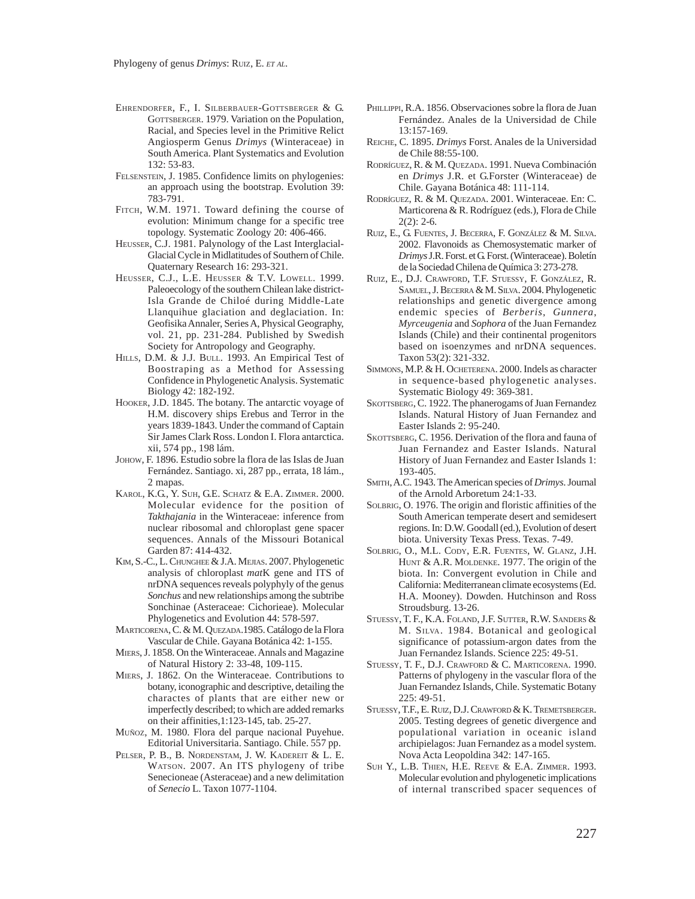- EHRENDORFER, F., I. SILBERBAUER-GOTTSBERGER & G. GOTTSBERGER. 1979. Variation on the Population, Racial, and Species level in the Primitive Relict Angiosperm Genus *Drimys* (Winteraceae) in South America. Plant Systematics and Evolution 132: 53-83.
- FELSENSTEIN, J. 1985. Confidence limits on phylogenies: an approach using the bootstrap. Evolution 39: 783-791.
- FITCH, W.M. 1971. Toward defining the course of evolution: Minimum change for a specific tree topology. Systematic Zoology 20: 406-466.
- HEUSSER, C.J. 1981. Palynology of the Last Interglacial-Glacial Cycle in Midlatitudes of Southern of Chile. Quaternary Research 16: 293-321.
- HEUSSER, C.J., L.E. HEUSSER & T.V. LOWELL. 1999. Paleoecology of the southern Chilean lake district-Isla Grande de Chiloé during Middle-Late Llanquihue glaciation and deglaciation. In: Geofisika Annaler, Series A, Physical Geography, vol. 21, pp. 231-284. Published by Swedish Society for Antropology and Geography.
- HILLS, D.M. & J.J. BULL. 1993. An Empirical Test of Boostraping as a Method for Assessing Confidence in Phylogenetic Analysis. Systematic Biology 42: 182-192.
- HOOKER, J.D. 1845. The botany. The antarctic voyage of H.M. discovery ships Erebus and Terror in the years 1839-1843. Under the command of Captain Sir James Clark Ross. London I. Flora antarctica. xii, 574 pp., 198 lám.
- JOHOW, F. 1896. Estudio sobre la flora de las Islas de Juan Fernández. Santiago. xi, 287 pp., errata, 18 lám., 2 mapas.
- KAROL, K.G., Y. SUH, G.E. SCHATZ & E.A. ZIMMER. 2000. Molecular evidence for the position of *Takthajania* in the Winteraceae: inference from nuclear ribosomal and chloroplast gene spacer sequences. Annals of the Missouri Botanical Garden 87: 414-432.
- KIM, S.-C., L. CHUNGHEE & J.A. MEJIAS. 2007. Phylogenetic analysis of chloroplast *mat*K gene and ITS of nrDNA sequences reveals polyphyly of the genus *Sonchus* and new relationships among the subtribe Sonchinae (Asteraceae: Cichorieae). Molecular Phylogenetics and Evolution 44: 578-597.
- MARTICORENA, C. & M. QUEZADA.1985. Catálogo de la Flora Vascular de Chile. Gayana Botánica 42: 1-155.
- MIERS, J. 1858. On the Winteraceae. Annals and Magazine of Natural History 2: 33-48, 109-115.
- MIERS, J. 1862. On the Winteraceae. Contributions to botany, iconographic and descriptive, detailing the charactes of plants that are either new or imperfectly described; to which are added remarks on their affinities,1:123-145, tab. 25-27.
- MUÑOZ, M. 1980. Flora del parque nacional Puyehue. Editorial Universitaria. Santiago. Chile. 557 pp.
- PELSER, P. B., B. NORDENSTAM, J. W. KADEREIT & L. E. WATSON. 2007. An ITS phylogeny of tribe Senecioneae (Asteraceae) and a new delimitation of *Senecio* L. Taxon 1077-1104.
- PHILLIPPI, R.A. 1856. Observaciones sobre la flora de Juan Fernández. Anales de la Universidad de Chile 13:157-169.
- REICHE, C. 1895. *Drimys* Forst. Anales de la Universidad de Chile 88:55-100.
- RODRÍGUEZ, R. & M. QUEZADA. 1991. Nueva Combinación en *Drimys* J.R. et G.Forster (Winteraceae) de Chile. Gayana Botánica 48: 111-114.
- RODRÍGUEZ, R. & M. QUEZADA. 2001. Winteraceae. En: C. Marticorena & R. Rodríguez (eds.), Flora de Chile  $2(2) \cdot 2 - 6$
- RUIZ, E., G. FUENTES, J. BECERRA, F. GONZÁLEZ & M. SILVA. 2002. Flavonoids as Chemosystematic marker of *Drimys* J.R. Forst. et G. Forst. (Winteraceae). Boletín de la Sociedad Chilena de Química 3: 273-278.
- RUIZ, E., D.J. CRAWFORD, T.F. STUESSY, F. GONZÁLEZ, R. SAMUEL, J. BECERRA & M. SILVA. 2004. Phylogenetic relationships and genetic divergence among endemic species of *Berberis*, *Gunnera*, *Myrceugenia* and *Sophora* of the Juan Fernandez Islands (Chile) and their continental progenitors based on isoenzymes and nrDNA sequences. Taxon 53(2): 321-332.
- SIMMONS, M.P. & H. OCHETERENA. 2000. Indels as character in sequence-based phylogenetic analyses. Systematic Biology 49: 369-381.
- SKOTTSBERG, C. 1922. The phanerogams of Juan Fernandez Islands. Natural History of Juan Fernandez and Easter Islands 2: 95-240.
- SKOTTSBERG, C. 1956. Derivation of the flora and fauna of Juan Fernandez and Easter Islands. Natural History of Juan Fernandez and Easter Islands 1: 193-405.
- SMITH, A.C. 1943. The American species of *Drimys*. Journal of the Arnold Arboretum 24:1-33.
- SOLBRIG, O. 1976. The origin and floristic affinities of the South American temperate desert and semidesert regions. In: D.W. Goodall (ed.), Evolution of desert biota. University Texas Press. Texas. 7-49.
- SOLBRIG, O., M.L. CODY, E.R. FUENTES, W. GLANZ, J.H. HUNT & A.R. MOLDENKE. 1977. The origin of the biota. In: Convergent evolution in Chile and California: Mediterranean climate ecosystems (Ed. H.A. Mooney). Dowden. Hutchinson and Ross Stroudsburg. 13-26.
- STUESSY, T. F., K.A. FOLAND, J.F. SUTTER, R.W. SANDERS & M. SILVA. 1984. Botanical and geological significance of potassium-argon dates from the Juan Fernandez Islands. Science 225: 49-51.
- STUESSY, T. F., D.J. CRAWFORD & C. MARTICORENA. 1990. Patterns of phylogeny in the vascular flora of the Juan Fernandez Islands, Chile. Systematic Botany 225: 49-51.
- STUESSY, T.F., E. RUIZ, D.J. CRAWFORD & K. TREMETSBERGER. 2005. Testing degrees of genetic divergence and populational variation in oceanic island archipielagos: Juan Fernandez as a model system. Nova Acta Leopoldina 342: 147-165.
- SUH Y., L.B. THIEN, H.E. REEVE & E.A. ZIMMER. 1993. Molecular evolution and phylogenetic implications of internal transcribed spacer sequences of